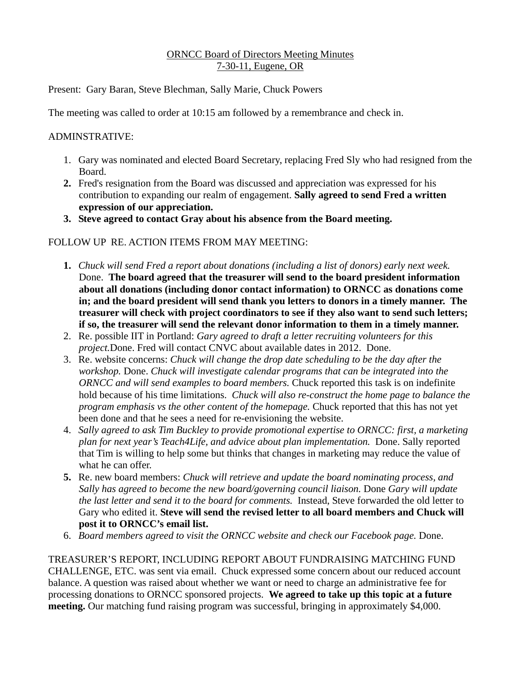### ORNCC Board of Directors Meeting Minutes 7-30-11, Eugene, OR

Present: Gary Baran, Steve Blechman, Sally Marie, Chuck Powers

The meeting was called to order at 10:15 am followed by a remembrance and check in.

### ADMINSTRATIVE:

- 1. Gary was nominated and elected Board Secretary, replacing Fred Sly who had resigned from the Board.
- **2.** Fred's resignation from the Board was discussed and appreciation was expressed for his contribution to expanding our realm of engagement. **Sally agreed to send Fred a written expression of our appreciation.**
- **3. Steve agreed to contact Gray about his absence from the Board meeting.**

## FOLLOW UP RE. ACTION ITEMS FROM MAY MEETING:

- **1.** *Chuck will send Fred a report about donations (including a list of donors) early next week.* Done. **The board agreed that the treasurer will send to the board president information about all donations (including donor contact information) to ORNCC as donations come in; and the board president will send thank you letters to donors in a timely manner. The treasurer will check with project coordinators to see if they also want to send such letters; if so, the treasurer will send the relevant donor information to them in a timely manner.**
- 2. Re. possible IIT in Portland: *Gary agreed to draft a letter recruiting volunteers for this project.*Done. Fred will contact CNVC about available dates in 2012. Done.
- 3. Re. website concerns: *Chuck will change the drop date scheduling to be the day after the workshop.* Done. *Chuck will investigate calendar programs that can be integrated into the ORNCC and will send examples to board members.* Chuck reported this task is on indefinite hold because of his time limitations. *Chuck will also re-construct the home page to balance the program emphasis vs the other content of the homepage.* Chuck reported that this has not yet been done and that he sees a need for re-envisioning the website.
- 4. *Sally agreed to ask Tim Buckley to provide promotional expertise to ORNCC: first, a marketing plan for next year's Teach4Life, and advice about plan implementation.* Done. Sally reported that Tim is willing to help some but thinks that changes in marketing may reduce the value of what he can offer.
- **5.** Re. new board members: *Chuck will retrieve and update the board nominating process, and Sally has agreed to become the new board/governing council liaison.* Done *Gary will update the last letter and send it to the board for comments.* Instead, Steve forwarded the old letter to Gary who edited it. **Steve will send the revised letter to all board members and Chuck will post it to ORNCC's email list.**
- 6. *Board members agreed to visit the ORNCC website and check our Facebook page.* Done.

TREASURER'S REPORT, INCLUDING REPORT ABOUT FUNDRAISING MATCHING FUND CHALLENGE, ETC. was sent via email. Chuck expressed some concern about our reduced account balance. A question was raised about whether we want or need to charge an administrative fee for processing donations to ORNCC sponsored projects. **We agreed to take up this topic at a future meeting.** Our matching fund raising program was successful, bringing in approximately \$4,000.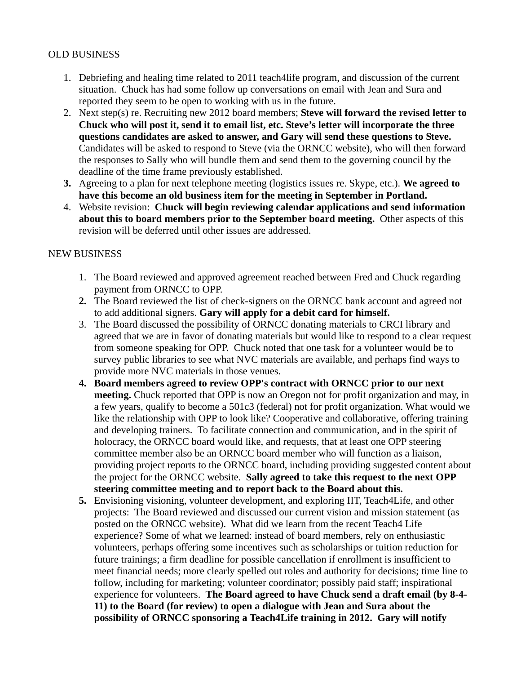### OLD BUSINESS

- 1. Debriefing and healing time related to 2011 teach4life program, and discussion of the current situation. Chuck has had some follow up conversations on email with Jean and Sura and reported they seem to be open to working with us in the future.
- 2. Next step(s) re. Recruiting new 2012 board members; **Steve will forward the revised letter to Chuck who will post it, send it to email list, etc. Steve's letter will incorporate the three questions candidates are asked to answer, and Gary will send these questions to Steve.** Candidates will be asked to respond to Steve (via the ORNCC website), who will then forward the responses to Sally who will bundle them and send them to the governing council by the deadline of the time frame previously established.
- **3.** Agreeing to a plan for next telephone meeting (logistics issues re. Skype, etc.). **We agreed to have this become an old business item for the meeting in September in Portland.**
- 4. Website revision: **Chuck will begin reviewing calendar applications and send information about this to board members prior to the September board meeting.** Other aspects of this revision will be deferred until other issues are addressed.

#### NEW BUSINESS

- 1. The Board reviewed and approved agreement reached between Fred and Chuck regarding payment from ORNCC to OPP.
- **2.** The Board reviewed the list of check-signers on the ORNCC bank account and agreed not to add additional signers. **Gary will apply for a debit card for himself.**
- 3. The Board discussed the possibility of ORNCC donating materials to CRCI library and agreed that we are in favor of donating materials but would like to respond to a clear request from someone speaking for OPP. Chuck noted that one task for a volunteer would be to survey public libraries to see what NVC materials are available, and perhaps find ways to provide more NVC materials in those venues.
- **4. Board members agreed to review OPP's contract with ORNCC prior to our next meeting.** Chuck reported that OPP is now an Oregon not for profit organization and may, in a few years, qualify to become a 501c3 (federal) not for profit organization. What would we like the relationship with OPP to look like? Cooperative and collaborative, offering training and developing trainers. To facilitate connection and communication, and in the spirit of holocracy, the ORNCC board would like, and requests, that at least one OPP steering committee member also be an ORNCC board member who will function as a liaison, providing project reports to the ORNCC board, including providing suggested content about the project for the ORNCC website. **Sally agreed to take this request to the next OPP steering committee meeting and to report back to the Board about this.**
- **5.** Envisioning visioning, volunteer development, and exploring IIT, Teach4Life, and other projects: The Board reviewed and discussed our current vision and mission statement (as posted on the ORNCC website). What did we learn from the recent Teach4 Life experience? Some of what we learned: instead of board members, rely on enthusiastic volunteers, perhaps offering some incentives such as scholarships or tuition reduction for future trainings; a firm deadline for possible cancellation if enrollment is insufficient to meet financial needs; more clearly spelled out roles and authority for decisions; time line to follow, including for marketing; volunteer coordinator; possibly paid staff; inspirational experience for volunteers. **The Board agreed to have Chuck send a draft email (by 8-4- 11) to the Board (for review) to open a dialogue with Jean and Sura about the possibility of ORNCC sponsoring a Teach4Life training in 2012. Gary will notify**